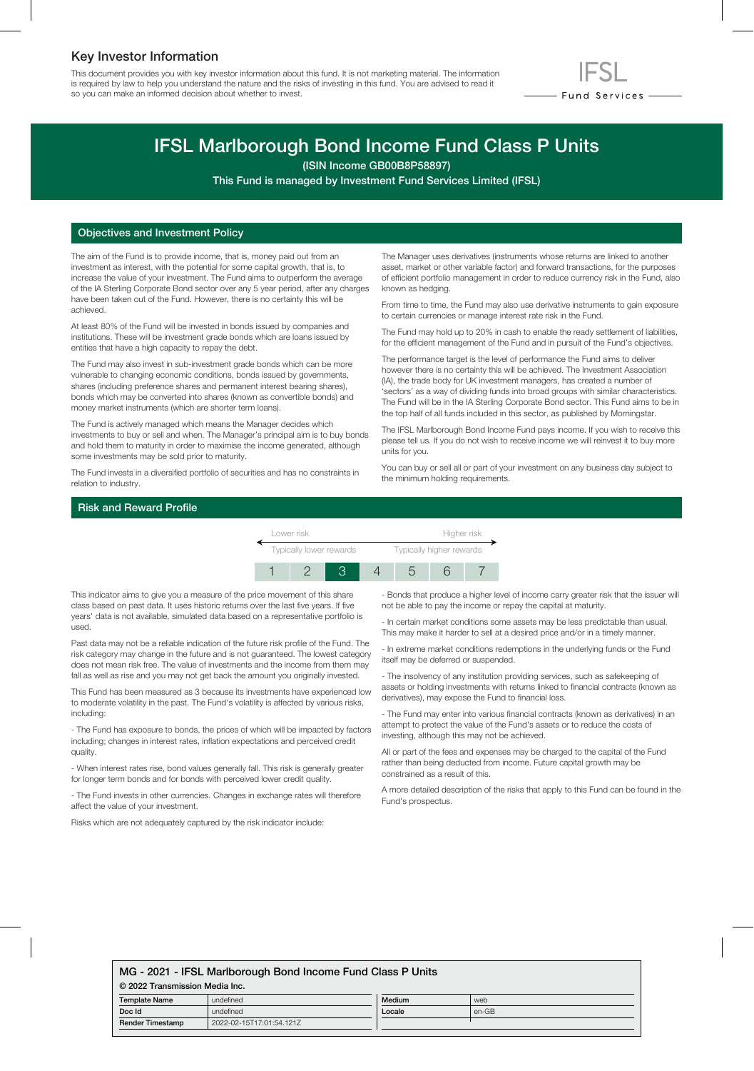## Key Investor Information

This document provides you with key investor information about this fund. It is not marketing material. The information is required by law to help you understand the nature and the risks of investing in this fund. You are advised to read it so you can make an informed decision about whether to invest.



# IFSL Marlborough Bond Income Fund Class P Units

(ISIN Income GB00B8P58897)

This Fund is managed by Investment Fund Services Limited (IFSL)

#### Objectives and Investment Policy

The aim of the Fund is to provide income, that is, money paid out from an investment as interest, with the potential for some capital growth, that is, to increase the value of your investment. The Fund aims to outperform the average of the IA Sterling Corporate Bond sector over any 5 year period, after any charges have been taken out of the Fund. However, there is no certainty this will be achieved.

At least 80% of the Fund will be invested in bonds issued by companies and institutions. These will be investment grade bonds which are loans issued by entities that have a high capacity to repay the debt.

The Fund may also invest in sub-investment grade bonds which can be more vulnerable to changing economic conditions, bonds issued by governments, shares (including preference shares and permanent interest bearing shares), bonds which may be converted into shares (known as convertible bonds) and money market instruments (which are shorter term loans).

The Fund is actively managed which means the Manager decides which investments to buy or sell and when. The Manager's principal aim is to buy bonds and hold them to maturity in order to maximise the income generated, although some investments may be sold prior to maturity.

The Fund invests in a diversified portfolio of securities and has no constraints in relation to industry.

The Manager uses derivatives (instruments whose returns are linked to another asset, market or other variable factor) and forward transactions, for the purposes of efficient portfolio management in order to reduce currency risk in the Fund, also known as hedging.

From time to time, the Fund may also use derivative instruments to gain exposure to certain currencies or manage interest rate risk in the Fund.

The Fund may hold up to 20% in cash to enable the ready settlement of liabilities, for the efficient management of the Fund and in pursuit of the Fund's objectives.

The performance target is the level of performance the Fund aims to deliver however there is no certainty this will be achieved. The Investment Association (IA), the trade body for UK investment managers, has created a number of 'sectors' as a way of dividing funds into broad groups with similar characteristics. The Fund will be in the IA Sterling Corporate Bond sector. This Fund aims to be in the top half of all funds included in this sector, as published by Morningstar.

The IFSL Marlborough Bond Income Fund pays income. If you wish to receive this please tell us. If you do not wish to receive income we will reinvest it to buy more units for you.

You can buy or sell all or part of your investment on any business day subject to the minimum holding requirements.

#### Risk and Reward Profile



This indicator aims to give you a measure of the price movement of this share class based on past data. It uses historic returns over the last five years. If five years' data is not available, simulated data based on a representative portfolio is used.

Past data may not be a reliable indication of the future risk profile of the Fund. The risk category may change in the future and is not guaranteed. The lowest category does not mean risk free. The value of investments and the income from them may fall as well as rise and you may not get back the amount you originally invested.

This Fund has been measured as 3 because its investments have experienced low to moderate volatility in the past. The Fund's volatility is affected by various risks, including:

- The Fund has exposure to bonds, the prices of which will be impacted by factors including; changes in interest rates, inflation expectations and perceived credit quality.

- When interest rates rise, bond values generally fall. This risk is generally greater for longer term bonds and for bonds with perceived lower credit quality.

- The Fund invests in other currencies. Changes in exchange rates will therefore affect the value of your investment.

Risks which are not adequately captured by the risk indicator include:

- Bonds that produce a higher level of income carry greater risk that the issuer will not be able to pay the income or repay the capital at maturity.

- In certain market conditions some assets may be less predictable than usual. This may make it harder to sell at a desired price and/or in a timely manner.

- In extreme market conditions redemptions in the underlying funds or the Fund itself may be deferred or suspended.

- The insolvency of any institution providing services, such as safekeeping of assets or holding investments with returns linked to financial contracts (known as derivatives), may expose the Fund to financial loss.

- The Fund may enter into various financial contracts (known as derivatives) in an attempt to protect the value of the Fund's assets or to reduce the costs of investing, although this may not be achieved.

All or part of the fees and expenses may be charged to the capital of the Fund rather than being deducted from income. Future capital growth may be constrained as a result of this.

A more detailed description of the risks that apply to this Fund can be found in the Fund's prospectus.